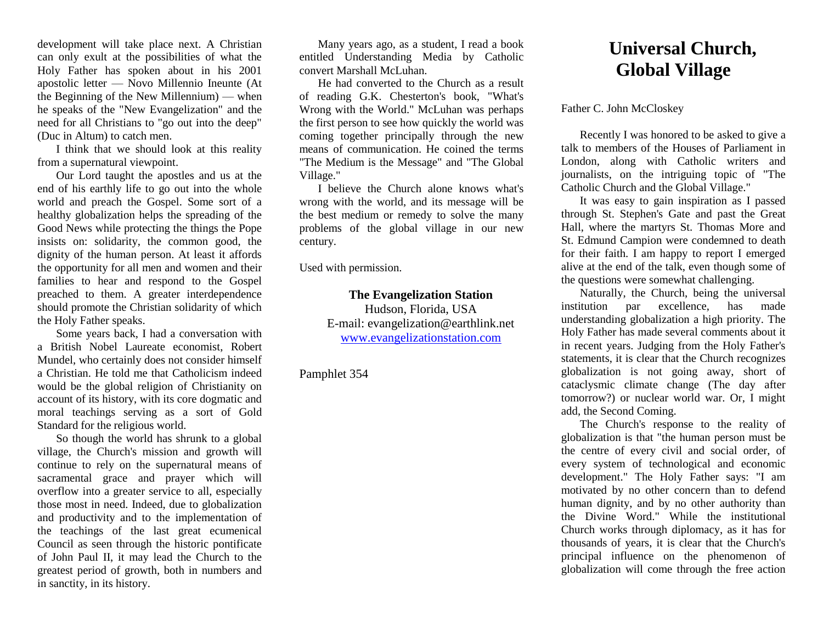development will take place next. A Christian can only exult at the possibilities of what the Holy Father has spoken about in his 2001 apostolic letter — Novo Millennio Ineunte (At the Beginning of the New Millennium) — when he speaks of the "New Evangelization" and the need for all Christians to "go out into the deep" (Duc in Altum) to catch men.

I think that we should look at this reality from a supernatural viewpoint.

Our Lord taught the apostles and us at the end of his earthly life to go out into the whole world and preach the Gospel. Some sort of a healthy globalization helps the spreading of the Good News while protecting the things the Pope insists on: solidarity, the common good, the dignity of the human person. At least it affords the opportunity for all men and women and their families to hear and respond to the Gospel preached to them. A greater interdependence should promote the Christian solidarity of which the Holy Father speaks.

Some years back, I had a conversation with a British Nobel Laureate economist, Robert Mundel, who certainly does not consider himself a Christian. He told me that Catholicism indeed would be the global religion of Christianity on account of its history, with its core dogmatic and moral teachings serving as a sort of Gold Standard for the religious world.

So though the world has shrunk to a global village, the Church's mission and growth will continue to rely on the supernatural means of sacramental grace and prayer which will overflow into a greater service to all, especially those most in need. Indeed, due to globalization and productivity and to the implementation of the teachings of the last great ecumenical Council as seen through the historic pontificate of John Paul II, it may lead the Church to the greatest period of growth, both in numbers and in sanctity, in its history.

Many years ago, as a student, I read a book entitled Understanding Media by Catholic convert Marshall McLuhan.

He had converted to the Church as a result of reading G.K. Chesterton's book, "What's Wrong with the World." McLuhan was perhaps the first person to see how quickly the world was coming together principally through the new means of communication. He coined the terms "The Medium is the Message" and "The Global Village."

I believe the Church alone knows what's wrong with the world, and its message will be the best medium or remedy to solve the many problems of the global village in our new century.

Used with permission.

**The Evangelization Station** 

Hudson, Florida, USA E-mail: evangelization@earthlink.net [www.evangelizationstation.com](http://www.pjpiisoe.org/)

Pamphlet 354

## **Universal Church, Global Village**

Father C. John McCloskey

Recently I was honored to be asked to give a talk to members of the Houses of Parliament in London, along with Catholic writers and journalists, on the intriguing topic of "The Catholic Church and the Global Village."

It was easy to gain inspiration as I passed through St. Stephen's Gate and past the Great Hall, where the martyrs St. Thomas More and St. Edmund Campion were condemned to death for their faith. I am happy to report I emerged alive at the end of the talk, even though some of the questions were somewhat challenging.

Naturally, the Church, being the universal institution par excellence, has made understanding globalization a high priority. The Holy Father has made several comments about it in recent years. Judging from the Holy Father's statements, it is clear that the Church recognizes globalization is not going away, short of cataclysmic climate change (The day after tomorrow?) or nuclear world war. Or, I might add, the Second Coming.

The Church's response to the reality of globalization is that "the human person must be the centre of every civil and social order, of every system of technological and economic development." The Holy Father says: "I am motivated by no other concern than to defend human dignity, and by no other authority than the Divine Word." While the institutional Church works through diplomacy, as it has for thousands of years, it is clear that the Church's principal influence on the phenomenon of globalization will come through the free action